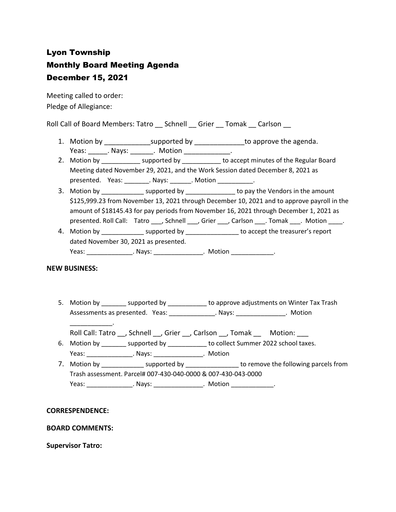# Lyon Township Monthly Board Meeting Agenda December 15, 2021

Meeting called to order: Pledge of Allegiance:

Roll Call of Board Members: Tatro \_\_ Schnell \_\_ Grier \_\_ Tomak \_\_ Carlson \_\_

- 1. Motion by \_\_\_\_\_\_\_\_\_\_\_\_\_\_\_\_supported by \_\_\_\_\_\_\_\_\_\_\_\_\_\_\_to approve the agenda. Yeas: \_\_\_\_\_\_\_. Nays: \_\_\_\_\_\_\_\_. Motion \_\_\_\_\_\_\_\_\_\_\_\_\_\_\_.
- 2. Motion by \_\_\_\_\_\_\_\_\_\_\_\_ supported by \_\_\_\_\_\_\_\_\_\_\_ to accept minutes of the Regular Board Meeting dated November 29, 2021, and the Work Session dated December 8, 2021 as presented. Yeas: \_\_\_\_\_\_\_\_. Nays: \_\_\_\_\_\_\_. Motion \_\_\_\_\_\_\_\_\_\_\_.
- 3. Motion by \_\_\_\_\_\_\_\_\_\_\_\_\_\_ supported by \_\_\_\_\_\_\_\_\_\_\_\_\_\_\_\_ to pay the Vendors in the amount \$125,999.23 from November 13, 2021 through December 10, 2021 and to approve payroll in the amount of \$18145.43 for pay periods from November 16, 2021 through December 1, 2021 as presented. Roll Call: Tatro , Schnell , Grier , Carlson . Tomak . Motion .
- 4. Motion by \_\_\_\_\_\_\_\_\_\_\_\_\_\_\_ supported by \_\_\_\_\_\_\_\_\_\_\_\_\_\_\_\_ to accept the treasurer's report dated November 30, 2021 as presented. Yeas: \_\_\_\_\_\_\_\_\_\_\_\_\_\_\_\_\_. Nays: \_\_\_\_\_\_\_\_\_\_\_\_\_\_\_\_\_. Motion \_\_\_\_\_\_\_\_\_\_\_\_\_\_\_.

# **NEW BUSINESS:**

\_\_\_\_\_\_\_\_\_\_\_\_.

- 5. Motion by \_\_\_\_\_\_\_\_ supported by \_\_\_\_\_\_\_\_\_\_\_\_ to approve adjustments on Winter Tax Trash Assessments as presented. Yeas: \_\_\_\_\_\_\_\_\_\_\_\_\_\_. Nays: \_\_\_\_\_\_\_\_\_\_\_\_\_\_\_. Motion
	- Roll Call: Tatro \_\_, Schnell \_\_, Grier \_\_, Carlson \_\_, Tomak \_\_ Motion: \_\_\_
- 6. Motion by \_\_\_\_\_\_\_ supported by \_\_\_\_\_\_\_\_\_\_\_ to collect Summer 2022 school taxes. Yeas: \_\_\_\_\_\_\_\_\_\_\_\_\_. Nays: \_\_\_\_\_\_\_\_\_\_\_\_\_\_. Motion
- 7. Motion by \_\_\_\_\_\_\_\_\_\_\_\_\_\_ supported by \_\_\_\_\_\_\_\_\_\_\_\_\_\_\_\_\_ to remove the following parcels from Trash assessment. Parcel# 007-430-040-0000 & 007-430-043-0000 Yeas: \_\_\_\_\_\_\_\_\_\_\_\_\_\_\_\_. Nays: \_\_\_\_\_\_\_\_\_\_\_\_\_\_\_\_. Motion \_\_\_\_\_\_\_\_\_\_\_\_\_\_.

# **CORRESPENDENCE:**

# **BOARD COMMENTS:**

### **Supervisor Tatro:**